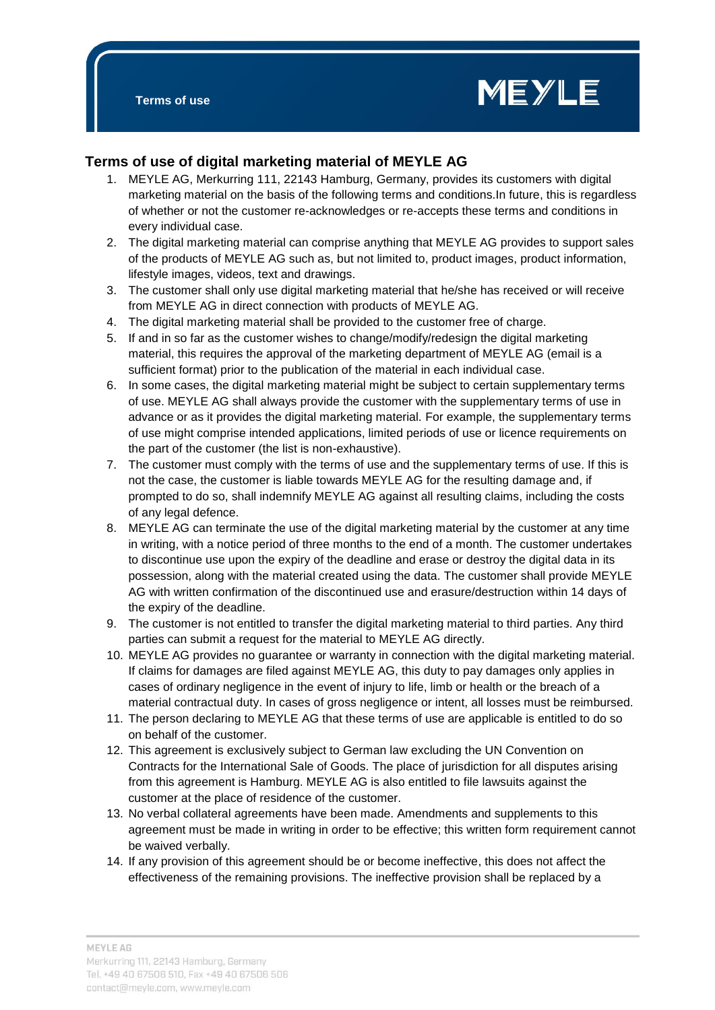

## **Terms of use of digital marketing material of MEYLE AG**

- 1. MEYLE AG, Merkurring 111, 22143 Hamburg, Germany, provides its customers with digital marketing material on the basis of the following terms and conditions.In future, this is regardless of whether or not the customer re-acknowledges or re-accepts these terms and conditions in every individual case.
- 2. The digital marketing material can comprise anything that MEYLE AG provides to support sales of the products of MEYLE AG such as, but not limited to, product images, product information, lifestyle images, videos, text and drawings.
- 3. The customer shall only use digital marketing material that he/she has received or will receive from MEYLE AG in direct connection with products of MEYLE AG.
- 4. The digital marketing material shall be provided to the customer free of charge.
- 5. If and in so far as the customer wishes to change/modify/redesign the digital marketing material, this requires the approval of the marketing department of MEYLE AG (email is a sufficient format) prior to the publication of the material in each individual case.
- 6. In some cases, the digital marketing material might be subject to certain supplementary terms of use. MEYLE AG shall always provide the customer with the supplementary terms of use in advance or as it provides the digital marketing material. For example, the supplementary terms of use might comprise intended applications, limited periods of use or licence requirements on the part of the customer (the list is non-exhaustive).
- 7. The customer must comply with the terms of use and the supplementary terms of use. If this is not the case, the customer is liable towards MEYLE AG for the resulting damage and, if prompted to do so, shall indemnify MEYLE AG against all resulting claims, including the costs of any legal defence.
- 8. MEYLE AG can terminate the use of the digital marketing material by the customer at any time in writing, with a notice period of three months to the end of a month. The customer undertakes to discontinue use upon the expiry of the deadline and erase or destroy the digital data in its possession, along with the material created using the data. The customer shall provide MEYLE AG with written confirmation of the discontinued use and erasure/destruction within 14 days of the expiry of the deadline.
- 9. The customer is not entitled to transfer the digital marketing material to third parties. Any third parties can submit a request for the material to MEYLE AG directly.
- 10. MEYLE AG provides no guarantee or warranty in connection with the digital marketing material. If claims for damages are filed against MEYLE AG, this duty to pay damages only applies in cases of ordinary negligence in the event of injury to life, limb or health or the breach of a material contractual duty. In cases of gross negligence or intent, all losses must be reimbursed.
- 11. The person declaring to MEYLE AG that these terms of use are applicable is entitled to do so on behalf of the customer.
- 12. This agreement is exclusively subject to German law excluding the UN Convention on Contracts for the International Sale of Goods. The place of jurisdiction for all disputes arising from this agreement is Hamburg. MEYLE AG is also entitled to file lawsuits against the customer at the place of residence of the customer.
- 13. No verbal collateral agreements have been made. Amendments and supplements to this agreement must be made in writing in order to be effective; this written form requirement cannot be waived verbally.
- 14. If any provision of this agreement should be or become ineffective, this does not affect the effectiveness of the remaining provisions. The ineffective provision shall be replaced by a